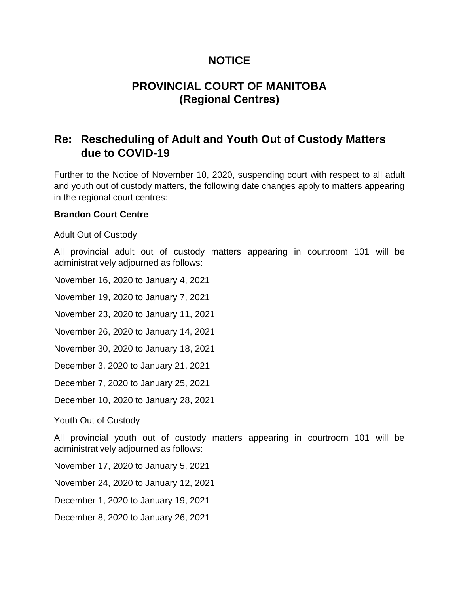# **NOTICE**

# **PROVINCIAL COURT OF MANITOBA (Regional Centres)**

# **Re: Rescheduling of Adult and Youth Out of Custody Matters due to COVID-19**

Further to the Notice of November 10, 2020, suspending court with respect to all adult and youth out of custody matters, the following date changes apply to matters appearing in the regional court centres:

### **Brandon Court Centre**

### Adult Out of Custody

All provincial adult out of custody matters appearing in courtroom 101 will be administratively adjourned as follows:

November 16, 2020 to January 4, 2021

November 19, 2020 to January 7, 2021

November 23, 2020 to January 11, 2021

November 26, 2020 to January 14, 2021

November 30, 2020 to January 18, 2021

December 3, 2020 to January 21, 2021

December 7, 2020 to January 25, 2021

December 10, 2020 to January 28, 2021

### Youth Out of Custody

All provincial youth out of custody matters appearing in courtroom 101 will be administratively adjourned as follows:

November 17, 2020 to January 5, 2021

November 24, 2020 to January 12, 2021

December 1, 2020 to January 19, 2021

December 8, 2020 to January 26, 2021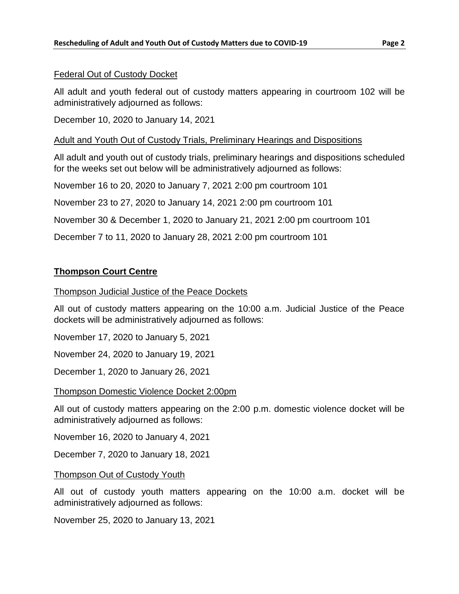#### Federal Out of Custody Docket

All adult and youth federal out of custody matters appearing in courtroom 102 will be administratively adjourned as follows:

December 10, 2020 to January 14, 2021

#### Adult and Youth Out of Custody Trials, Preliminary Hearings and Dispositions

All adult and youth out of custody trials, preliminary hearings and dispositions scheduled for the weeks set out below will be administratively adjourned as follows:

November 16 to 20, 2020 to January 7, 2021 2:00 pm courtroom 101

November 23 to 27, 2020 to January 14, 2021 2:00 pm courtroom 101

November 30 & December 1, 2020 to January 21, 2021 2:00 pm courtroom 101

December 7 to 11, 2020 to January 28, 2021 2:00 pm courtroom 101

## **Thompson Court Centre**

#### Thompson Judicial Justice of the Peace Dockets

All out of custody matters appearing on the 10:00 a.m. Judicial Justice of the Peace dockets will be administratively adjourned as follows:

November 17, 2020 to January 5, 2021

November 24, 2020 to January 19, 2021

December 1, 2020 to January 26, 2021

#### Thompson Domestic Violence Docket 2:00pm

All out of custody matters appearing on the 2:00 p.m. domestic violence docket will be administratively adjourned as follows:

November 16, 2020 to January 4, 2021

December 7, 2020 to January 18, 2021

#### Thompson Out of Custody Youth

All out of custody youth matters appearing on the 10:00 a.m. docket will be administratively adjourned as follows:

November 25, 2020 to January 13, 2021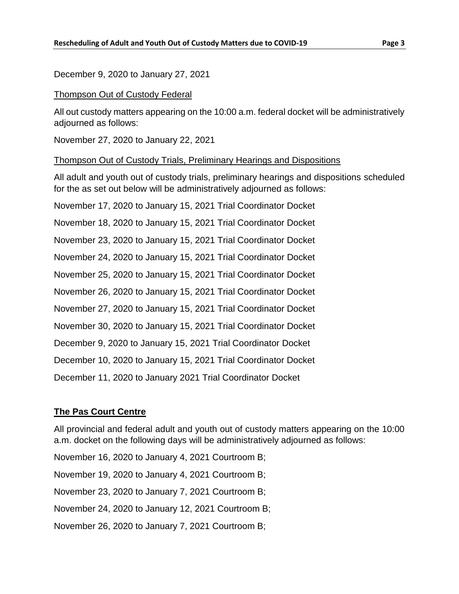December 9, 2020 to January 27, 2021

#### Thompson Out of Custody Federal

All out custody matters appearing on the 10:00 a.m. federal docket will be administratively adjourned as follows:

November 27, 2020 to January 22, 2021

### Thompson Out of Custody Trials, Preliminary Hearings and Dispositions

All adult and youth out of custody trials, preliminary hearings and dispositions scheduled for the as set out below will be administratively adjourned as follows:

November 17, 2020 to January 15, 2021 Trial Coordinator Docket November 18, 2020 to January 15, 2021 Trial Coordinator Docket November 23, 2020 to January 15, 2021 Trial Coordinator Docket November 24, 2020 to January 15, 2021 Trial Coordinator Docket November 25, 2020 to January 15, 2021 Trial Coordinator Docket

November 26, 2020 to January 15, 2021 Trial Coordinator Docket

November 27, 2020 to January 15, 2021 Trial Coordinator Docket

November 30, 2020 to January 15, 2021 Trial Coordinator Docket

December 9, 2020 to January 15, 2021 Trial Coordinator Docket

December 10, 2020 to January 15, 2021 Trial Coordinator Docket

December 11, 2020 to January 2021 Trial Coordinator Docket

## **The Pas Court Centre**

All provincial and federal adult and youth out of custody matters appearing on the 10:00 a.m. docket on the following days will be administratively adjourned as follows:

November 16, 2020 to January 4, 2021 Courtroom B;

November 19, 2020 to January 4, 2021 Courtroom B;

November 23, 2020 to January 7, 2021 Courtroom B;

November 24, 2020 to January 12, 2021 Courtroom B;

November 26, 2020 to January 7, 2021 Courtroom B;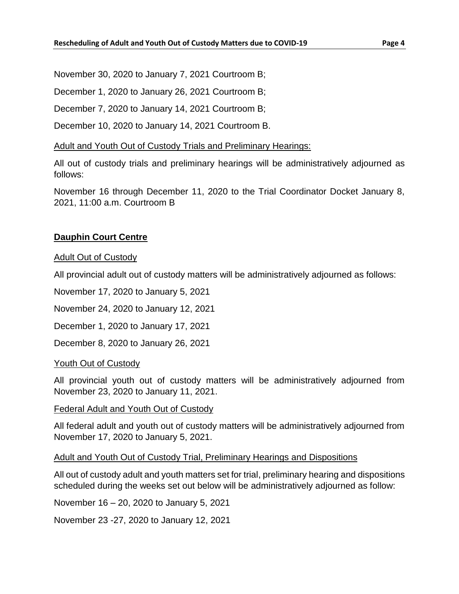November 30, 2020 to January 7, 2021 Courtroom B;

December 1, 2020 to January 26, 2021 Courtroom B;

December 7, 2020 to January 14, 2021 Courtroom B;

December 10, 2020 to January 14, 2021 Courtroom B.

### Adult and Youth Out of Custody Trials and Preliminary Hearings:

All out of custody trials and preliminary hearings will be administratively adjourned as follows:

November 16 through December 11, 2020 to the Trial Coordinator Docket January 8, 2021, 11:00 a.m. Courtroom B

## **Dauphin Court Centre**

Adult Out of Custody

All provincial adult out of custody matters will be administratively adjourned as follows:

November 17, 2020 to January 5, 2021

November 24, 2020 to January 12, 2021

December 1, 2020 to January 17, 2021

December 8, 2020 to January 26, 2021

## Youth Out of Custody

All provincial youth out of custody matters will be administratively adjourned from November 23, 2020 to January 11, 2021.

Federal Adult and Youth Out of Custody

All federal adult and youth out of custody matters will be administratively adjourned from November 17, 2020 to January 5, 2021.

Adult and Youth Out of Custody Trial, Preliminary Hearings and Dispositions

All out of custody adult and youth matters set for trial, preliminary hearing and dispositions scheduled during the weeks set out below will be administratively adjourned as follow:

November 16 – 20, 2020 to January 5, 2021

November 23 -27, 2020 to January 12, 2021